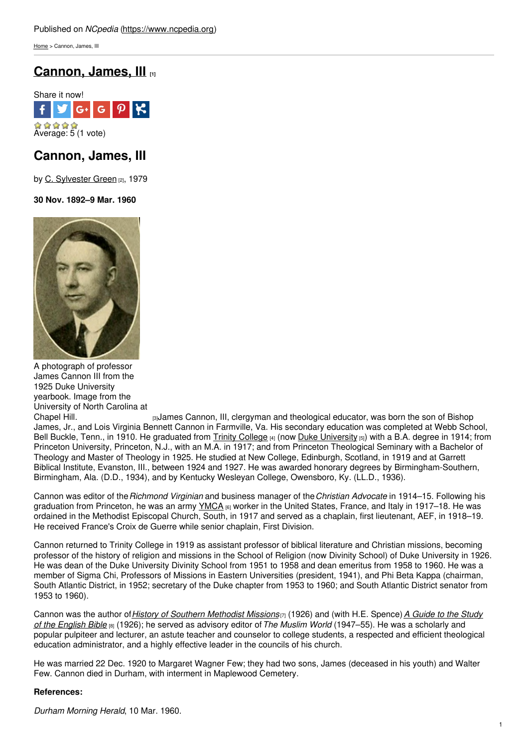[Home](https://www.ncpedia.org/) > Cannon, James, III

# **[Cannon,](https://www.ncpedia.org/biography/cannon-james-iii) James, III [1]**



# **Cannon, James, III**

by C. [Sylvester](https://www.ncpedia.org/biography/green-charles-sylvester) Green [2], 1979

## **30 Nov. 1892–9 Mar. 1960**



A photograph of professor James Cannon III from the 1925 Duke University yearbook. Image from the University of North Carolina at

[Chapel](http://library.digitalnc.org/cdm/ref/collection/yearbooks/id/1738) Hill. **Example 2** Equilibrary Cannon, III, clergyman and theological educator, was born the son of Bishop James, Jr., and Lois Virginia Bennett Cannon in Farmville, Va. His secondary education was completed at Webb School, Bell Buckle, Tenn., in 1910. He graduated from Trinity [College](https://www.ncpedia.org/trinity-college)  $[4]$  (now Duke [University](https://www.ncpedia.org/duke-university)  $[5]$ ) with a B.A. degree in 1914; from Princeton University, Princeton, N.J., with an M.A. in 1917; and from Princeton Theological Seminary with a Bachelor of Theology and Master of Theology in 1925. He studied at New College, Edinburgh, Scotland, in 1919 and at Garrett Biblical Institute, Evanston, III., between 1924 and 1927. He was awarded honorary degrees by Birmingham-Southern, Birmingham, Ala. (D.D., 1934), and by Kentucky Wesleyan College, Owensboro, Ky. (LL.D., 1936).

Cannon was editor of the*Richmond Virginian* and business manager of the*Christian Advocate* in 1914–15. Following his graduation from Princeton, he was an army [YMCA](https://www.ncpedia.org/ymca-and-ywca) [6] worker in the United States, France, and Italy in 1917–18. He was ordained in the Methodist Episcopal Church, South, in 1917 and served as a chaplain, first lieutenant, AEF, in 1918–19. He received France's Croix de Guerre while senior chaplain, First Division.

Cannon returned to Trinity College in 1919 as assistant professor of biblical literature and Christian missions, becoming professor of the history of religion and missions in the School of Religion (now Divinity School) of Duke University in 1926. He was dean of the Duke University Divinity School from 1951 to 1958 and dean emeritus from 1958 to 1960. He was a member of Sigma Chi, Professors of Missions in Eastern Universities (president, 1941), and Phi Beta Kappa (chairman, South Atlantic District, in 1952; secretary of the Duke chapter from 1953 to 1960; and South Atlantic District senator from 1953 to 1960).

Cannon was the author of*History of Southern [Methodist](https://www.worldcat.org/oclc/174872) Missions*[7] (1926) and (with H.E. Spence)*A Guide to the Study of the English Bible* [8] (1926); he served as advisory editor of*The Muslim World* [\(1947–55\).](https://www.worldcat.org/oclc/2846756) He was a scholarly and popular pulpiteer and lecturer, an astute teacher and counselor to college students, a respected and efficient theological education administrator, and a highly effective leader in the councils of his church.

He was married 22 Dec. 1920 to Margaret Wagner Few; they had two sons, James (deceased in his youth) and Walter Few. Cannon died in Durham, with interment in Maplewood Cemetery.

## **References:**

*Durham Morning Herald*, 10 Mar. 1960.